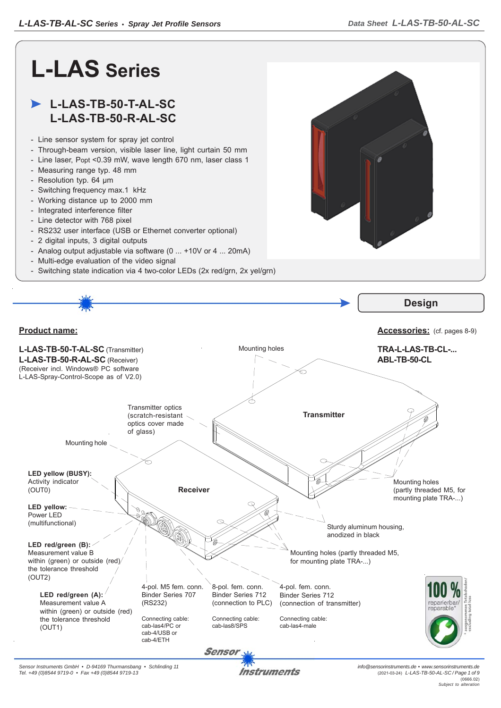

Instruments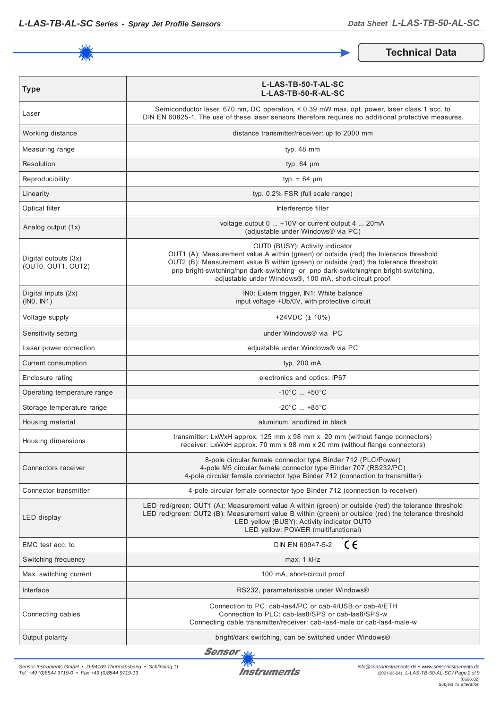

**Technical Data**

| <b>Type</b>                                | L-LAS-TB-50-T-AL-SC<br>L-LAS-TB-50-R-AL-SC                                                                                                                                                                                                                                                                                                                         |  |  |
|--------------------------------------------|--------------------------------------------------------------------------------------------------------------------------------------------------------------------------------------------------------------------------------------------------------------------------------------------------------------------------------------------------------------------|--|--|
| Laser                                      | Semiconductor laser, 670 nm, DC operation, < 0.39 mW max, opt. power, laser class 1 acc, to<br>DIN EN 60825-1. The use of these laser sensors therefore requires no additional protective measures.                                                                                                                                                                |  |  |
| Working distance                           | distance transmitter/receiver: up to 2000 mm                                                                                                                                                                                                                                                                                                                       |  |  |
| Measuring range                            | typ. 48 mm                                                                                                                                                                                                                                                                                                                                                         |  |  |
| Resolution                                 | typ. $64 \mu m$                                                                                                                                                                                                                                                                                                                                                    |  |  |
| Reproducibility                            | typ. $\pm$ 64 $\mu$ m                                                                                                                                                                                                                                                                                                                                              |  |  |
| Linearity                                  | typ. 0.2% FSR (full scale range)                                                                                                                                                                                                                                                                                                                                   |  |  |
| Optical filter                             | Interference filter                                                                                                                                                                                                                                                                                                                                                |  |  |
| Analog output (1x)                         | voltage output 0  +10V or current output 4  20mA<br>(adjustable under Windows® via PC)                                                                                                                                                                                                                                                                             |  |  |
| Digital outputs (3x)<br>(OUT0, OUT1, OUT2) | OUT0 (BUSY): Activity indicator<br>OUT1 (A): Measurement value A within (green) or outside (red) the tolerance threshold<br>OUT2 (B): Measurement value B within (green) or outside (red) the tolerance threshold<br>pnp bright-switching/npn dark-switching or pnp dark-switching/npn bright-switching,<br>adjustable under Windows®, 100 mA, short-circuit proof |  |  |
| Digital inputs (2x)<br>(INO, IN1)          | INO: Extern trigger, IN1: White balance<br>input voltage +Ub/0V, with protective circuit                                                                                                                                                                                                                                                                           |  |  |
| Voltage supply                             | +24VDC $(\pm 10\%)$                                                                                                                                                                                                                                                                                                                                                |  |  |
| Sensitivity setting                        | under Windows® via PC                                                                                                                                                                                                                                                                                                                                              |  |  |
| Laser power correction                     | adjustable under Windows® via PC                                                                                                                                                                                                                                                                                                                                   |  |  |
| Current consumption                        | typ. 200 mA                                                                                                                                                                                                                                                                                                                                                        |  |  |
| Enclosure rating                           | electronics and optics: IP67                                                                                                                                                                                                                                                                                                                                       |  |  |
| Operating temperature range                | $-10^{\circ}$ C  +50 $^{\circ}$ C                                                                                                                                                                                                                                                                                                                                  |  |  |
| Storage temperature range                  | $-20^{\circ}$ C  +85 $^{\circ}$ C                                                                                                                                                                                                                                                                                                                                  |  |  |
| Housing material                           | aluminum, anodized in black                                                                                                                                                                                                                                                                                                                                        |  |  |
| Housing dimensions                         | transmitter: LxWxH approx. 125 mm x 98 mm x 20 mm (without flange connectors)<br>receiver: LxWxH approx. 70 mm x 98 mm x 20 mm (without flange connectors)                                                                                                                                                                                                         |  |  |
| Connectors receiver                        | 8-pole circular female connector type Binder 712 (PLC/Power)<br>4-pole M5 circular female connector type Binder 707 (RS232/PC)<br>4-pole circular female connector type Binder 712 (connection to transmitter)                                                                                                                                                     |  |  |
| Connector transmitter                      | 4-pole circular female connector type Binder 712 (connection to receiver)                                                                                                                                                                                                                                                                                          |  |  |
| LED display                                | LED red/green: OUT1 (A): Measurement value A within (green) or outside (red) the tolerance threshold<br>LED red/green: OUT2 (B): Measurement value B within (green) or outside (red) the tolerance threshold<br>LED yellow (BUSY): Activity indicator OUT0<br>LED yellow: POWER (multifunctional)                                                                  |  |  |
| EMC test acc. to                           | DIN EN 60947-5-2<br>ce                                                                                                                                                                                                                                                                                                                                             |  |  |
| Switching frequency                        | max. 1 kHz                                                                                                                                                                                                                                                                                                                                                         |  |  |
| Max. switching current                     | 100 mA, short-circuit proof                                                                                                                                                                                                                                                                                                                                        |  |  |
| Interface                                  | RS232, parameterisable under Windows®                                                                                                                                                                                                                                                                                                                              |  |  |
| Connecting cables                          | Connection to PC: cab-las4/PC or cab-4/USB or cab-4/ETH<br>Connection to PLC: cab-las8/SPS or cab-las8/SPS-w<br>Connecting cable transmitter/receiver: cab-las4-male or cab-las4-male-w                                                                                                                                                                            |  |  |
| Output polarity                            | bright/dark switching, can be switched under Windows®                                                                                                                                                                                                                                                                                                              |  |  |

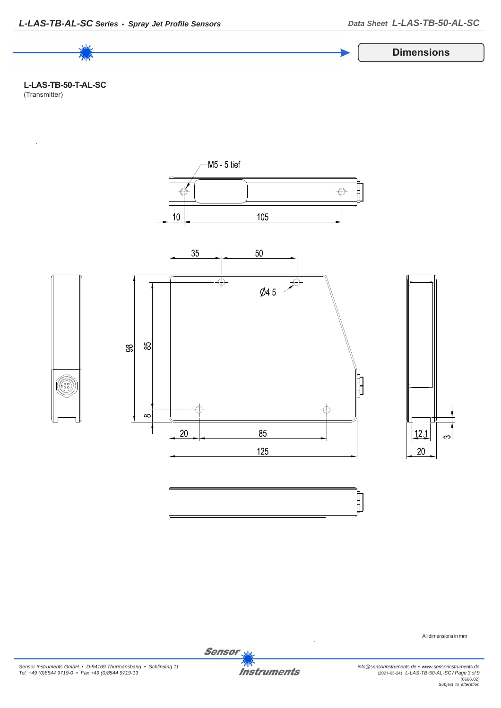







All dimensions in mm

*Sensor Instruments GmbH • D-94169 Thurmansbang • Schlinding 11 Tel. +49 (0)8544 9719-0 • Fax +49 (0)8544 9719-13*

**Instruments** 

Sensor<sub>N</sub>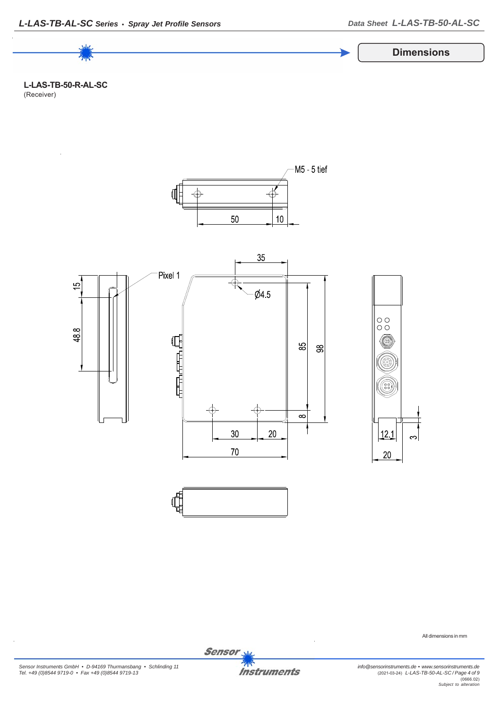

**L-LAS-TB-50-R-AL-SC** (Receiver)



All dimensions in mm

*Sensor Instruments GmbH • D-94169 Thurmansbang • Schlinding 11 Tel. +49 (0)8544 9719-0 • Fax +49 (0)8544 9719-13*

**Instruments** 

Sensor<sub>N</sub>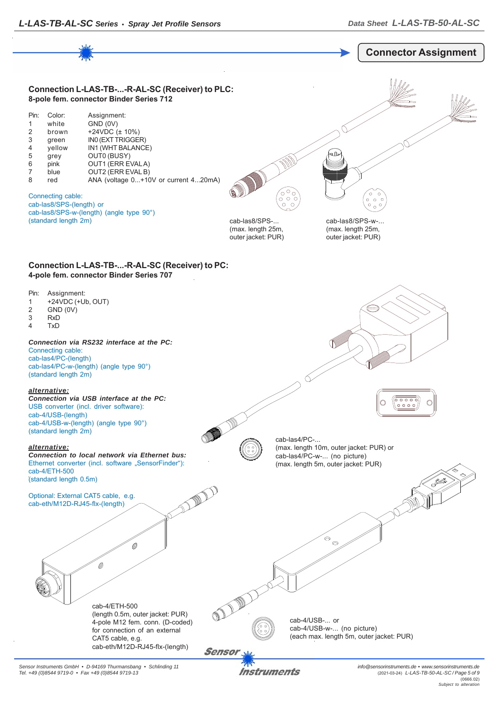

*Sensor Instruments GmbH • D-94169 Thurmansbang • Schlinding 11 Tel. +49 (0)8544 9719-0 • Fax +49 (0)8544 9719-13*

Instruments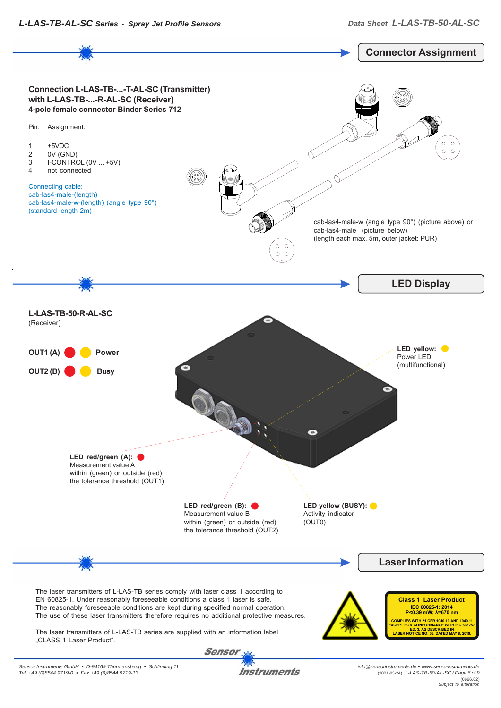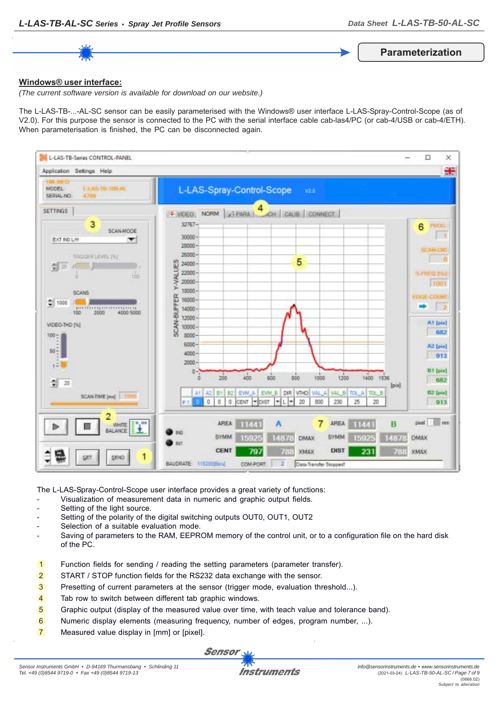**Parameterization**

## **Windows® user interface:**

*(The current software version is available for download on our website.)*

The L-LAS-TB-...-AL-SC sensor can be easily parameterised with the Windows® user interface L-LAS-Spray-Control-Scope (as of V2.0). For this purpose the sensor is connected to the PC with the serial interface cable cab-las4/PC (or cab-4/USB or cab-4/ETH). When parameterisation is finished, the PC can be disconnected again.



The L-LAS-Spray-Control-Scope user interface provides a great variety of functions:

- Visualization of measurement data in numeric and graphic output fields.
- Setting of the light source.
- Setting of the polarity of the digital switching outputs OUT0, OUT1, OUT2
- Selection of a suitable evaluation mode.
- Saving of parameters to the RAM, EEPROM memory of the control unit, or to a configuration file on the hard disk of the PC.
- 1 Function fields for sending / reading the setting parameters (parameter transfer).
- 2 START / STOP function fields for the RS232 data exchange with the sensor.
- 3 Presetting of current parameters at the sensor (trigger mode, evaluation threshold...).
- 4 Tab row to switch between different tab graphic windows.
- 5 Graphic output (display of the measured value over time, with teach value and tolerance band).
- 6 Numeric display elements (measuring frequency, number of edges, program number, ...).
- 7 Measured value display in [mm] or [pixel].

Sensor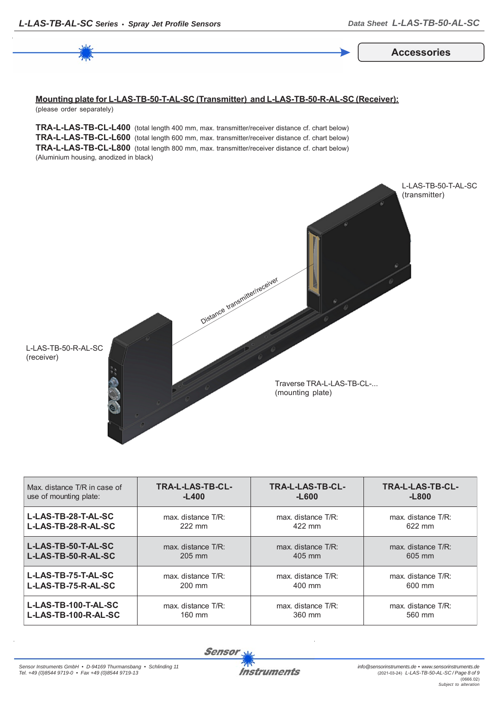**Accessories**

## **Mounting plate for L-LAS-TB-50-T-AL-SC (Transmitter) and L-LAS-TB-50-R-AL-SC (Receiver):** (please order separately)

**TRA-L-LAS-TB-CL-L400** (total length 400 mm, max. transmitter/receiver distance cf. chart below) **TRA-L-LAS-TB-CL-L600** (total length 600 mm, max. transmitter/receiver distance cf. chart below) **TRA-L-LAS-TB-CL-L800** (total length 800 mm, max. transmitter/receiver distance cf. chart below) (Aluminium housing, anodized in black)



| Max, distance T/R in case of | TRA-L-LAS-TB-CL-   | <b>TRA-L-LAS-TB-CL-</b> | TRA-L-LAS-TB-CL-   |
|------------------------------|--------------------|-------------------------|--------------------|
| use of mounting plate:       | $-L400$            | $-L600$                 | $-L800$            |
| L-LAS-TB-28-T-AL-SC          | max. distance T/R: | max. distance T/R:      | max. distance T/R: |
| L-LAS-TB-28-R-AL-SC          | 222 mm             | 422 mm                  | 622 mm             |
| L-LAS-TB-50-T-AL-SC          | max. distance T/R: | max. distance T/R:      | max. distance T/R: |
| L-LAS-TB-50-R-AL-SC          | 205 mm             | 405 mm                  | 605 mm             |
| L-LAS-TB-75-T-AL-SC          | max. distance T/R: | max. distance T/R:      | max. distance T/R: |
| L-LAS-TB-75-R-AL-SC          | $200 \text{ mm}$   | 400 mm                  | 600 mm             |
| L-LAS-TB-100-T-AL-SC         | max. distance T/R: | max. distance T/R:      | max. distance T/R: |
| L-LAS-TB-100-R-AL-SC         | 160 mm             | 360 mm                  | 560 mm             |

**Sensor**